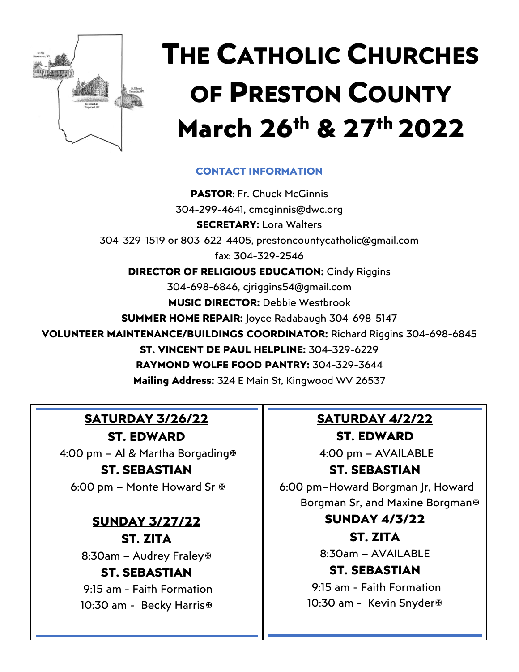

# **THE CATHOLIC CHURCHES OF PRESTON COUNTY March 26th & 27th 2022**

#### **CONTACT INFORMATION**

**PASTOR**: Fr. Chuck McGinnis 304-299-4641, cmcginnis@dwc.org **SECRETARY:** Lora Walters 304-329-1519 or 803-622-4405, [prestoncountycatholic@gmail.com](mailto:prestoncountycatholic@gmail.com) fax: 304-329-2546 **DIRECTOR OF RELIGIOUS EDUCATION: Cindy Riggins** 304-698-6846, cjriggins54@gmail.com **MUSIC DIRECTOR:** Debbie Westbrook **SUMMER HOME REPAIR:** Joyce Radabaugh 304-698-5147 **VOLUNTEER MAINTENANCE/BUILDINGS COORDINATOR:** Richard Riggins 304-698-6845 **ST. VINCENT DE PAUL HELPLINE:** 304-329-6229 **RAYMOND WOLFE FOOD PANTRY:** 304-329-3644 **Mailing Address:** 324 E Main St, Kingwood WV 26537

## **SATURDAY 3/26/22**

**ST. EDWARD** 4:00 pm – Al & Martha Borgading **ST. SEBASTIAN**

6:00 pm – Monte Howard Sr

#### **SUNDAY 3/27/22 ST. ZITA**

8:30am – Audrey Fraley

#### **ST. SEBASTIAN**

9:15 am - Faith Formation 10:30 am - Becky Harris<sup>®</sup>

# **SATURDAY 4/2/22**

**ST. EDWARD** 4:00 pm – AVAILABLE

#### **ST. SEBASTIAN**

6:00 pm–Howard Borgman Jr, Howard Borgman Sr, and Maxine Borgman

#### **SUNDAY 4/3/22**

**ST. ZITA**

8:30am – AVAILABLE

#### **ST. SEBASTIAN**

9:15 am - Faith Formation 10:30 am - Kevin Snyder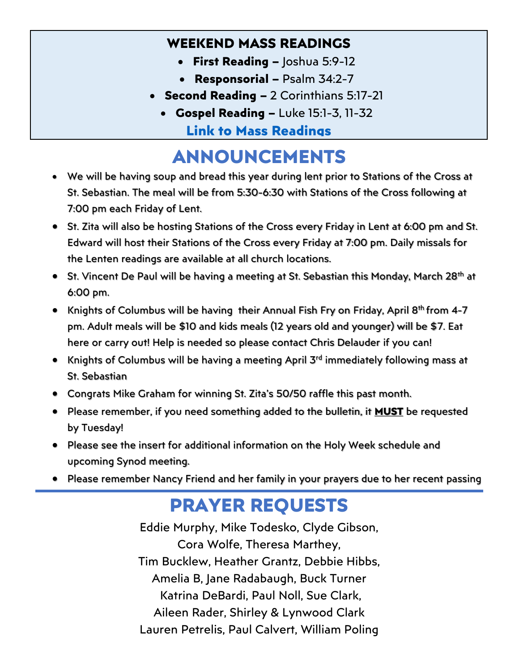### **WEEKEND MASS READINGS**

- **First Reading –** Joshua 5:9-12
- **Responsorial –** Psalm 34:2-7
- **Second Reading –** 2 Corinthians 5:17-21
	- **Gospel Reading –** Luke 15:1-3, 11-32 **[Link to Mass Readings](https://bible.usccb.org/bible/readings/032722.cfm)**

# **ANNOUNCEMENTS**

- We will be having soup and bread this year during lent prior to Stations of the Cross at St. Sebastian. The meal will be from 5:30-6:30 with Stations of the Cross following at 7:00 pm each Friday of Lent.
- St. Zita will also be hosting Stations of the Cross every Friday in Lent at 6:00 pm and St. Edward will host their Stations of the Cross every Friday at 7:00 pm. Daily missals for the Lenten readings are available at all church locations.
- St. Vincent De Paul will be having a meeting at St. Sebastian this Monday, March 28<sup>th</sup> at 6:00 pm.
- Knights of Columbus will be having their Annual Fish Fry on Friday, April 8<sup>th</sup> from 4-7 pm. Adult meals will be \$10 and kids meals (12 years old and younger) will be \$7. Eat here or carry out! Help is needed so please contact Chris Delauder if you can!
- Knights of Columbus will be having a meeting April 3<sup>rd</sup> immediately following mass at St. Sebastian
- Congrats Mike Graham for winning St. Zita's 50/50 raffle this past month.
- Please remember, if you need something added to the bulletin, it **MUST** be requested by Tuesday!
- Please see the insert for additional information on the Holy Week schedule and upcoming Synod meeting.
- Please remember Nancy Friend and her family in your prayers due to her recent passing

# **PRAYER REQUESTS**

Eddie Murphy, Mike Todesko, Clyde Gibson, Cora Wolfe, Theresa Marthey, Tim Bucklew, Heather Grantz, Debbie Hibbs, Amelia B, Jane Radabaugh, Buck Turner Katrina DeBardi, Paul Noll, Sue Clark, Aileen Rader, Shirley & Lynwood Clark Lauren Petrelis, Paul Calvert, William Poling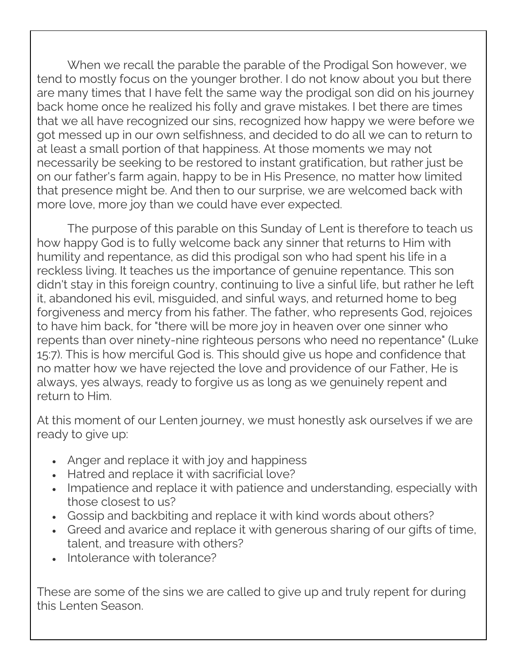When we recall the parable the parable of the Prodigal Son however, we tend to mostly focus on the younger brother. I do not know about you but there are many times that I have felt the same way the prodigal son did on his journey back home once he realized his folly and grave mistakes. I bet there are times that we all have recognized our sins, recognized how happy we were before we got messed up in our own selfishness, and decided to do all we can to return to at least a small portion of that happiness. At those moments we may not necessarily be seeking to be restored to instant gratification, but rather just be on our father's farm again, happy to be in His Presence, no matter how limited that presence might be. And then to our surprise, we are welcomed back with more love, more joy than we could have ever expected.

The purpose of this parable on this Sunday of Lent is therefore to teach us how happy God is to fully welcome back any sinner that returns to Him with humility and repentance, as did this prodigal son who had spent his life in a reckless living. It teaches us the importance of genuine repentance. This son didn't stay in this foreign country, continuing to live a sinful life, but rather he left it, abandoned his evil, misguided, and sinful ways, and returned home to beg forgiveness and mercy from his father. The father, who represents God, rejoices to have him back, for "there will be more joy in heaven over one sinner who repents than over ninety-nine righteous persons who need no repentance" (Luke 15:7). This is how merciful God is. This should give us hope and confidence that no matter how we have rejected the love and providence of our Father, He is always, yes always, ready to forgive us as long as we genuinely repent and return to Him.

At this moment of our Lenten journey, we must honestly ask ourselves if we are ready to give up:

- Anger and replace it with joy and happiness
- Hatred and replace it with sacrificial love?
- Impatience and replace it with patience and understanding, especially with those closest to us?
- Gossip and backbiting and replace it with kind words about others?
- Greed and avarice and replace it with generous sharing of our gifts of time, talent, and treasure with others?
- Intolerance with tolerance?

These are some of the sins we are called to give up and truly repent for during this Lenten Season.